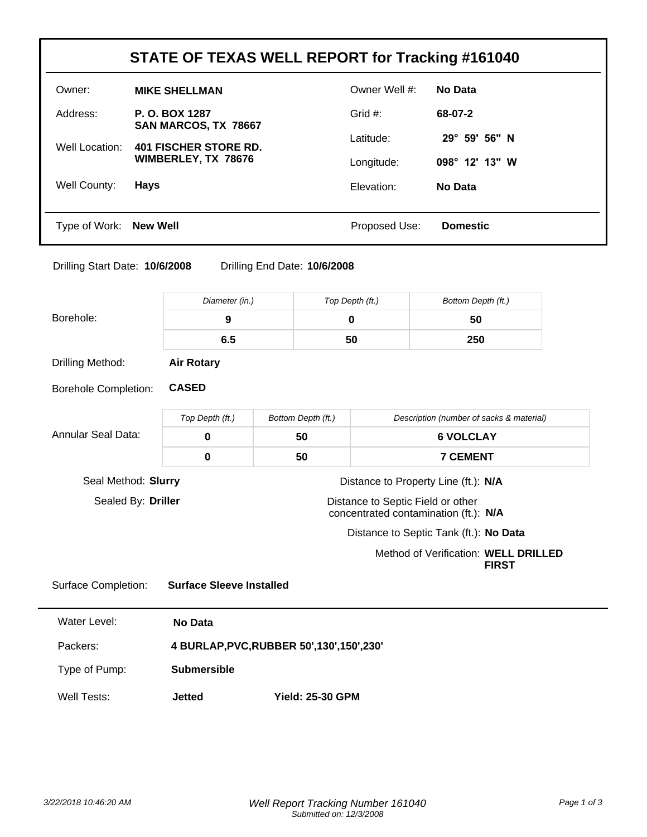| STATE OF TEXAS WELL REPORT for Tracking #161040 |                                                     |               |                        |  |  |  |
|-------------------------------------------------|-----------------------------------------------------|---------------|------------------------|--|--|--|
| Owner:                                          | <b>MIKE SHELLMAN</b>                                | Owner Well #: | No Data                |  |  |  |
| Address:                                        | P. O. BOX 1287<br>SAN MARCOS, TX 78667              | Grid $#$ :    | 68-07-2                |  |  |  |
| Well Location:                                  | <b>401 FISCHER STORE RD.</b><br>WIMBERLEY, TX 78676 | Latitude:     | $29^{\circ}$ 59' 56" N |  |  |  |
|                                                 |                                                     | Longitude:    | $098^\circ$ 12' 13" W  |  |  |  |
| Well County:                                    | <b>Hays</b>                                         | Elevation:    | No Data                |  |  |  |
|                                                 |                                                     |               |                        |  |  |  |
| Type of Work: New Well                          |                                                     | Proposed Use: | <b>Domestic</b>        |  |  |  |

Drilling Start Date: **10/6/2008** Drilling End Date: **10/6/2008**

|                             | Diameter (in.)                              | Top Depth (ft.)                                                            |                 | Bottom Depth (ft.)                                   |  |
|-----------------------------|---------------------------------------------|----------------------------------------------------------------------------|-----------------|------------------------------------------------------|--|
| Borehole:                   | 9                                           | $\mathbf 0$                                                                |                 | 50                                                   |  |
|                             | 6.5                                         | 50                                                                         |                 | 250                                                  |  |
| Drilling Method:            | <b>Air Rotary</b>                           |                                                                            |                 |                                                      |  |
| <b>Borehole Completion:</b> | <b>CASED</b>                                |                                                                            |                 |                                                      |  |
|                             | Top Depth (ft.)<br>Bottom Depth (ft.)       |                                                                            |                 | Description (number of sacks & material)             |  |
| <b>Annular Seal Data:</b>   | $\mathbf 0$                                 | 50                                                                         |                 | <b>6 VOLCLAY</b>                                     |  |
|                             | $\mathbf 0$                                 | 50                                                                         | <b>7 CEMENT</b> |                                                      |  |
| Seal Method: Slurry         |                                             |                                                                            |                 | Distance to Property Line (ft.): N/A                 |  |
| Sealed By: Driller          |                                             | Distance to Septic Field or other<br>concentrated contamination (ft.): N/A |                 |                                                      |  |
|                             |                                             | Distance to Septic Tank (ft.): No Data                                     |                 |                                                      |  |
|                             |                                             |                                                                            |                 | Method of Verification: WELL DRILLED<br><b>FIRST</b> |  |
| <b>Surface Completion:</b>  | <b>Surface Sleeve Installed</b>             |                                                                            |                 |                                                      |  |
| <b>Water Level:</b>         | <b>No Data</b>                              |                                                                            |                 |                                                      |  |
| Packers:                    | 4 BURLAP, PVC, RUBBER 50', 130', 150', 230' |                                                                            |                 |                                                      |  |
| Type of Pump:               | <b>Submersible</b>                          |                                                                            |                 |                                                      |  |
| Well Tests:                 | <b>Jetted</b>                               | <b>Yield: 25-30 GPM</b>                                                    |                 |                                                      |  |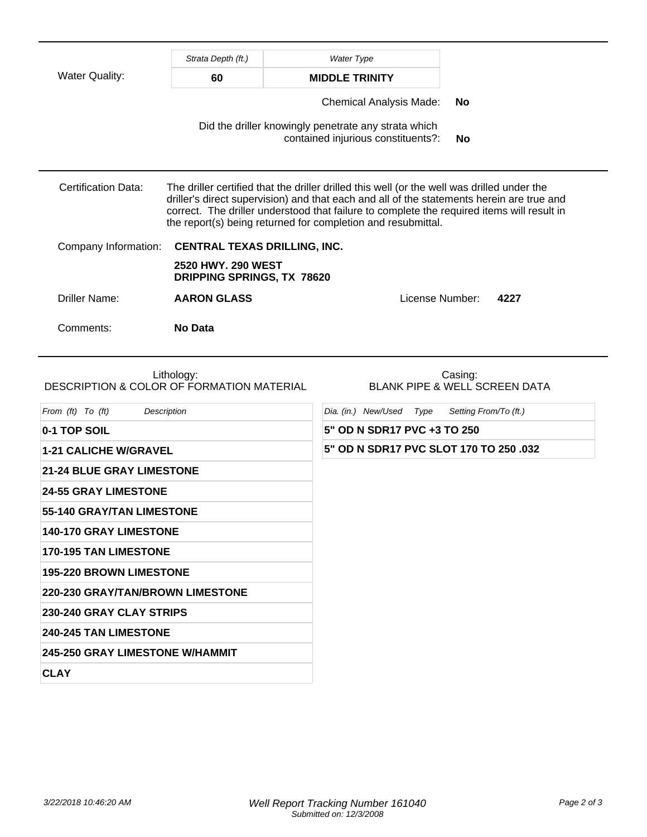|                                                                | Strata Depth (ft.)                                      | <b>Water Type</b>                                                                                                                                                                                                                                                                                                                                      |                                                                   |  |
|----------------------------------------------------------------|---------------------------------------------------------|--------------------------------------------------------------------------------------------------------------------------------------------------------------------------------------------------------------------------------------------------------------------------------------------------------------------------------------------------------|-------------------------------------------------------------------|--|
| <b>Water Quality:</b>                                          | 60                                                      | <b>MIDDLE TRINITY</b>                                                                                                                                                                                                                                                                                                                                  |                                                                   |  |
|                                                                |                                                         | <b>Chemical Analysis Made:</b>                                                                                                                                                                                                                                                                                                                         | No                                                                |  |
|                                                                |                                                         | Did the driller knowingly penetrate any strata which<br>contained injurious constituents?:                                                                                                                                                                                                                                                             | <b>No</b>                                                         |  |
| <b>Certification Data:</b>                                     |                                                         | The driller certified that the driller drilled this well (or the well was drilled under the<br>driller's direct supervision) and that each and all of the statements herein are true and<br>correct. The driller understood that failure to complete the required items will result in<br>the report(s) being returned for completion and resubmittal. |                                                                   |  |
| Company Information:                                           | <b>CENTRAL TEXAS DRILLING, INC.</b>                     |                                                                                                                                                                                                                                                                                                                                                        |                                                                   |  |
|                                                                | 2520 HWY. 290 WEST<br><b>DRIPPING SPRINGS, TX 78620</b> |                                                                                                                                                                                                                                                                                                                                                        |                                                                   |  |
| <b>Driller Name:</b>                                           | <b>AARON GLASS</b>                                      |                                                                                                                                                                                                                                                                                                                                                        | License Number:<br>4227                                           |  |
| Comments:                                                      | <b>No Data</b>                                          |                                                                                                                                                                                                                                                                                                                                                        |                                                                   |  |
| DESCRIPTION & COLOR OF FORMATION MATERIAL<br>From (ft) To (ft) | Lithology:<br>Description                               | Dia. (in.) New/Used Type                                                                                                                                                                                                                                                                                                                               | Casing:<br>BLANK PIPE & WELL SCREEN DATA<br>Setting From/To (ft.) |  |
| 0-1 TOP SOIL                                                   |                                                         | 5" OD N SDR17 PVC +3 TO 250                                                                                                                                                                                                                                                                                                                            |                                                                   |  |
| <b>1-21 CALICHE W/GRAVEL</b>                                   |                                                         | 5" OD N SDR17 PVC SLOT 170 TO 250 .032                                                                                                                                                                                                                                                                                                                 |                                                                   |  |
| <b>21-24 BLUE GRAY LIMESTONE</b>                               |                                                         |                                                                                                                                                                                                                                                                                                                                                        |                                                                   |  |
| <b>24-55 GRAY LIMESTONE</b>                                    |                                                         |                                                                                                                                                                                                                                                                                                                                                        |                                                                   |  |
| 55-140 GRAY/TAN LIMESTONE                                      |                                                         |                                                                                                                                                                                                                                                                                                                                                        |                                                                   |  |
| 140-170 GRAY LIMESTONE                                         |                                                         |                                                                                                                                                                                                                                                                                                                                                        |                                                                   |  |
| <b>170-195 TAN LIMESTONE</b>                                   |                                                         |                                                                                                                                                                                                                                                                                                                                                        |                                                                   |  |
| <b>195-220 BROWN LIMESTONE</b>                                 |                                                         |                                                                                                                                                                                                                                                                                                                                                        |                                                                   |  |
| 220-230 GRAY/TAN/BROWN LIMESTONE                               |                                                         |                                                                                                                                                                                                                                                                                                                                                        |                                                                   |  |
| 230-240 GRAY CLAY STRIPS                                       |                                                         |                                                                                                                                                                                                                                                                                                                                                        |                                                                   |  |
| 240-245 TAN LIMESTONE                                          |                                                         |                                                                                                                                                                                                                                                                                                                                                        |                                                                   |  |
| 245-250 GRAY LIMESTONE W/HAMMIT                                |                                                         |                                                                                                                                                                                                                                                                                                                                                        |                                                                   |  |
| <b>CLAY</b>                                                    |                                                         |                                                                                                                                                                                                                                                                                                                                                        |                                                                   |  |